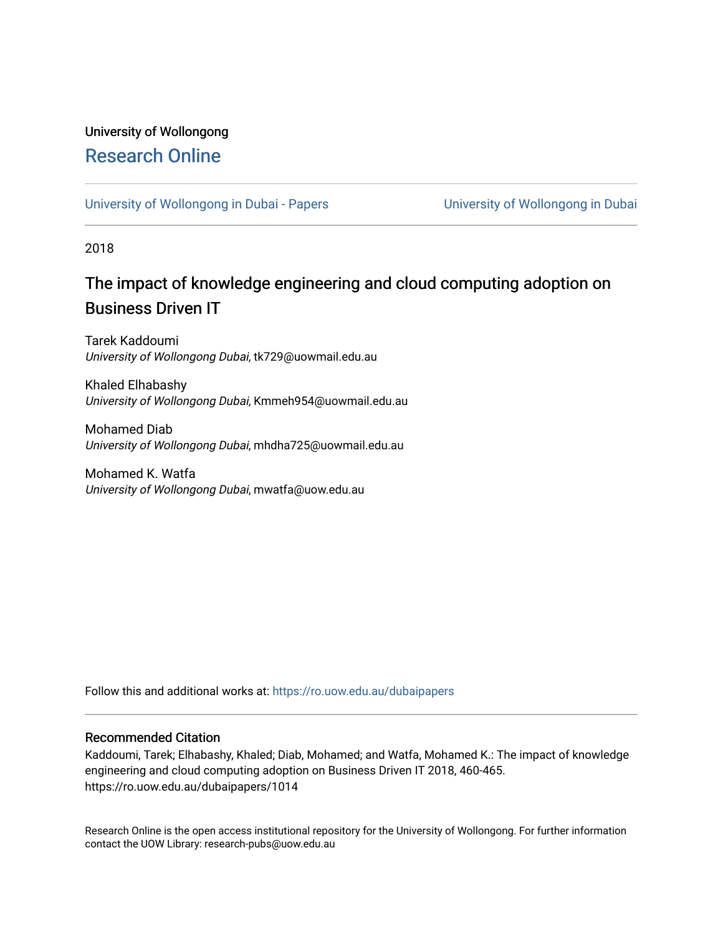## University of Wollongong [Research Online](https://ro.uow.edu.au/)

[University of Wollongong in Dubai - Papers](https://ro.uow.edu.au/dubaipapers) **University of Wollongong in Dubai** 

2018

## The impact of knowledge engineering and cloud computing adoption on Business Driven IT

Tarek Kaddoumi University of Wollongong Dubai, tk729@uowmail.edu.au

Khaled Elhabashy University of Wollongong Dubai, Kmmeh954@uowmail.edu.au

Mohamed Diab University of Wollongong Dubai, mhdha725@uowmail.edu.au

Mohamed K. Watfa University of Wollongong Dubai, mwatfa@uow.edu.au

Follow this and additional works at: [https://ro.uow.edu.au/dubaipapers](https://ro.uow.edu.au/dubaipapers?utm_source=ro.uow.edu.au%2Fdubaipapers%2F1014&utm_medium=PDF&utm_campaign=PDFCoverPages) 

### Recommended Citation

Kaddoumi, Tarek; Elhabashy, Khaled; Diab, Mohamed; and Watfa, Mohamed K.: The impact of knowledge engineering and cloud computing adoption on Business Driven IT 2018, 460-465. https://ro.uow.edu.au/dubaipapers/1014

Research Online is the open access institutional repository for the University of Wollongong. For further information contact the UOW Library: research-pubs@uow.edu.au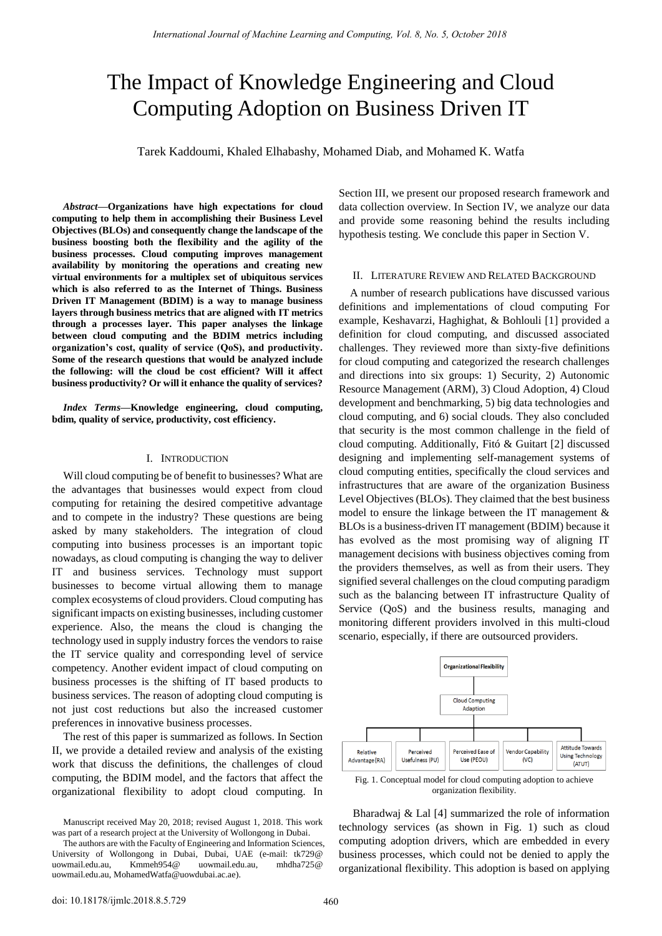# The Impact of Knowledge Engineering and Cloud Computing Adoption on Business Driven IT

Tarek Kaddoumi, Khaled Elhabashy, Mohamed Diab, and Mohamed K. Watfa

*Abstract***—Organizations have high expectations for cloud computing to help them in accomplishing their Business Level Objectives (BLOs) and consequently change the landscape of the business boosting both the flexibility and the agility of the business processes. Cloud computing improves management availability by monitoring the operations and creating new virtual environments for a multiplex set of ubiquitous services which is also referred to as the Internet of Things. Business Driven IT Management (BDIM) is a way to manage business layers through business metrics that are aligned with IT metrics through a processes layer. This paper analyses the linkage between cloud computing and the BDIM metrics including organization's cost, quality of service (QoS), and productivity. Some of the research questions that would be analyzed include the following: will the cloud be cost efficient? Will it affect business productivity? Or will it enhance the quality of services?** 

*Index Terms***—Knowledge engineering, cloud computing, bdim, quality of service, productivity, cost efficiency.** 

#### I. INTRODUCTION

Will cloud computing be of benefit to businesses? What are the advantages that businesses would expect from cloud computing for retaining the desired competitive advantage and to compete in the industry? These questions are being asked by many stakeholders. The integration of cloud computing into business processes is an important topic nowadays, as cloud computing is changing the way to deliver IT and business services. Technology must support businesses to become virtual allowing them to manage complex ecosystems of cloud providers. Cloud computing has significant impacts on existing businesses, including customer experience. Also, the means the cloud is changing the technology used in supply industry forces the vendors to raise the IT service quality and corresponding level of service competency. Another evident impact of cloud computing on business processes is the shifting of IT based products to business services. The reason of adopting cloud computing is not just cost reductions but also the increased customer preferences in innovative business processes.

The rest of this paper is summarized as follows. In Section II, we provide a detailed review and analysis of the existing work that discuss the definitions, the challenges of cloud computing, the BDIM model, and the factors that affect the organizational flexibility to adopt cloud computing. In Section III, we present our proposed research framework and data collection overview. In Section IV, we analyze our data and provide some reasoning behind the results including hypothesis testing. We conclude this paper in Section V.

#### II. LITERATURE REVIEW AND RELATED BACKGROUND

A number of research publications have discussed various definitions and implementations of cloud computing For example, Keshavarzi, Haghighat, & Bohlouli [1] provided a definition for cloud computing, and discussed associated challenges. They reviewed more than sixty-five definitions for cloud computing and categorized the research challenges and directions into six groups: 1) Security, 2) Autonomic Resource Management (ARM), 3) Cloud Adoption, 4) Cloud development and benchmarking, 5) big data technologies and cloud computing, and 6) social clouds. They also concluded that security is the most common challenge in the field of cloud computing. Additionally, Fitó & Guitart [2] discussed designing and implementing self-management systems of cloud computing entities, specifically the cloud services and infrastructures that are aware of the organization Business Level Objectives (BLOs). They claimed that the best business model to ensure the linkage between the IT management & BLOs is a business-driven IT management (BDIM) because it has evolved as the most promising way of aligning IT management decisions with business objectives coming from the providers themselves, as well as from their users. They signified several challenges on the cloud computing paradigm such as the balancing between IT infrastructure Quality of Service (QoS) and the business results, managing and monitoring different providers involved in this multi-cloud scenario, especially, if there are outsourced providers.



organization flexibility.

 Bharadwaj & Lal [4] summarized the role of information technology services (as shown in Fig. 1) such as cloud computing adoption drivers, which are embedded in every business processes, which could not be denied to apply the organizational flexibility. This adoption is based on applying

Manuscript received May 20, 2018; revised August 1, 2018. This work was part of a research project at the University of Wollongong in Dubai.

The authors are with the Faculty of Engineering and Information Sciences, University of Wollongong in Dubai, Dubai, UAE (e-mail: tk729@ uowmail.edu.au, Kmmeh954@ uowmail.edu.au, mhdha725@ uowmail.edu.au, MohamedWatfa@uowdubai.ac.ae).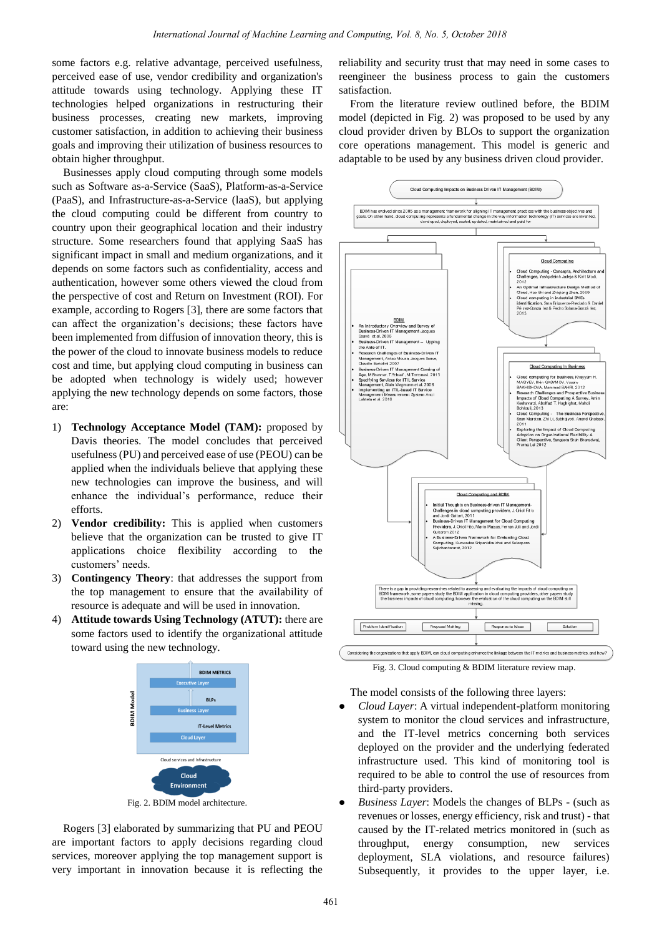some factors e.g. relative advantage, perceived usefulness, perceived ease of use, vendor credibility and organization's attitude towards using technology. Applying these IT technologies helped organizations in restructuring their business processes, creating new markets, improving customer satisfaction, in addition to achieving their business goals and improving their utilization of business resources to obtain higher throughput.

Businesses apply cloud computing through some models such as Software as-a-Service (SaaS), Platform-as-a-Service (PaaS), and Infrastructure-as-a-Service (laaS), but applying the cloud computing could be different from country to country upon their geographical location and their industry structure. Some researchers found that applying SaaS has significant impact in small and medium organizations, and it depends on some factors such as confidentiality, access and authentication, however some others viewed the cloud from the perspective of cost and Return on Investment (ROI). For example, according to Rogers [3], there are some factors that can affect the organization"s decisions; these factors have been implemented from diffusion of innovation theory, this is the power of the cloud to innovate business models to reduce cost and time, but applying cloud computing in business can be adopted when technology is widely used; however applying the new technology depends on some factors, those are:

- 1) **Technology Acceptance Model (TAM):** proposed by Davis theories. The model concludes that perceived usefulness (PU) and perceived ease of use (PEOU) can be applied when the individuals believe that applying these new technologies can improve the business, and will enhance the individual"s performance, reduce their efforts.
- 2) **Vendor credibility:** This is applied when customers believe that the organization can be trusted to give IT applications choice flexibility according to the customers' needs.
- 3) **Contingency Theory**: that addresses the support from the top management to ensure that the availability of resource is adequate and will be used in innovation.
- 4) **Attitude towards Using Technology (ATUT):** there are some factors used to identify the organizational attitude toward using the new technology.



Fig. 2. BDIM model architecture.

Rogers [3] elaborated by summarizing that PU and PEOU are important factors to apply decisions regarding cloud services, moreover applying the top management support is very important in innovation because it is reflecting the reliability and security trust that may need in some cases to reengineer the business process to gain the customers satisfaction.

From the literature review outlined before, the BDIM model (depicted in Fig. 2) was proposed to be used by any cloud provider driven by BLOs to support the organization core operations management. This model is generic and adaptable to be used by any business driven cloud provider.



Fig. 3. Cloud computing & BDIM literature review map.

The model consists of the following three layers:

- *Cloud Layer*: A virtual independent-platform monitoring system to monitor the cloud services and infrastructure, and the IT-level metrics concerning both services deployed on the provider and the underlying federated infrastructure used. This kind of monitoring tool is required to be able to control the use of resources from third-party providers.
- *Business Layer*: Models the changes of BLPs (such as revenues or losses, energy efficiency, risk and trust) - that caused by the IT-related metrics monitored in (such as throughput, energy consumption, new services deployment, SLA violations, and resource failures) Subsequently, it provides to the upper layer, i.e.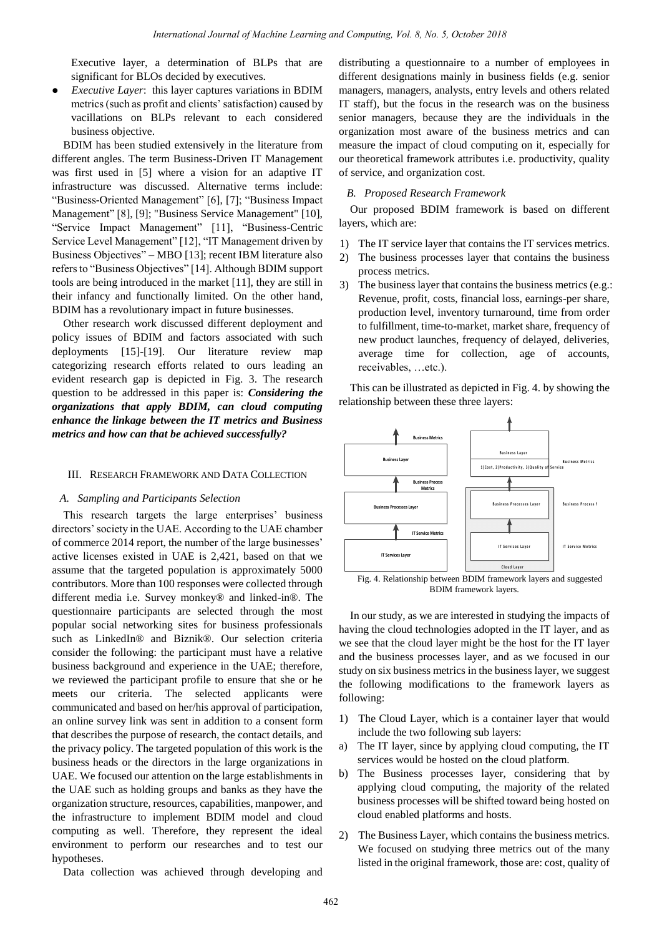Executive layer, a determination of BLPs that are significant for BLOs decided by executives.

 *Executive Layer*: this layer captures variations in BDIM metrics (such as profit and clients' satisfaction) caused by vacillations on BLPs relevant to each considered business objective.

BDIM has been studied extensively in the literature from different angles. The term Business-Driven IT Management was first used in [5] where a vision for an adaptive IT infrastructure was discussed. Alternative terms include: "Business-Oriented Management" [6], [7]; "Business Impact Management" [8], [9]; "Business Service Management" [10], "Service Impact Management" [11], "Business-Centric Service Level Management" [12], "IT Management driven by Business Objectives" – MBO [13]; recent IBM literature also refers to "Business Objectives" [14]. Although BDIM support tools are being introduced in the market [11], they are still in their infancy and functionally limited. On the other hand, BDIM has a revolutionary impact in future businesses.

Other research work discussed different deployment and policy issues of BDIM and factors associated with such deployments [15]-[19]. Our literature review map categorizing research efforts related to ours leading an evident research gap is depicted in Fig. 3. The research question to be addressed in this paper is: *Considering the organizations that apply BDIM, can cloud computing enhance the linkage between the IT metrics and Business metrics and how can that be achieved successfully?* 

#### III. RESEARCH FRAMEWORK AND DATA COLLECTION

#### *A. Sampling and Participants Selection*

This research targets the large enterprises' business directors" society in the UAE. According to the UAE chamber of commerce 2014 report, the number of the large businesses" active licenses existed in UAE is 2,421, based on that we assume that the targeted population is approximately 5000 contributors. More than 100 responses were collected through different media i.e. Survey monkey® and linked-in®. The questionnaire participants are selected through the most popular social networking sites for business professionals such as LinkedIn® and Biznik®. Our selection criteria consider the following: the participant must have a relative business background and experience in the UAE; therefore, we reviewed the participant profile to ensure that she or he meets our criteria. The selected applicants were communicated and based on her/his approval of participation, an online survey link was sent in addition to a consent form that describes the purpose of research, the contact details, and the privacy policy. The targeted population of this work is the business heads or the directors in the large organizations in UAE. We focused our attention on the large establishments in the UAE such as holding groups and banks as they have the organization structure, resources, capabilities, manpower, and the infrastructure to implement BDIM model and cloud computing as well. Therefore, they represent the ideal environment to perform our researches and to test our hypotheses.

Data collection was achieved through developing and

distributing a questionnaire to a number of employees in different designations mainly in business fields (e.g. senior managers, managers, analysts, entry levels and others related IT staff), but the focus in the research was on the business senior managers, because they are the individuals in the organization most aware of the business metrics and can measure the impact of cloud computing on it, especially for our theoretical framework attributes i.e. productivity, quality of service, and organization cost.

#### *B. Proposed Research Framework*

Our proposed BDIM framework is based on different layers, which are:

- 1) The IT service layer that contains the IT services metrics.
- 2) The business processes layer that contains the business process metrics.
- 3) The business layer that contains the business metrics (e.g.: Revenue, profit, costs, financial loss, earnings-per share, production level, inventory turnaround, time from order to fulfillment, time-to-market, market share, frequency of new product launches, frequency of delayed, deliveries, average time for collection, age of accounts, receivables, …etc.).

This can be illustrated as depicted in Fig. 4. by showing the relationship between these three layers:



BDIM framework layers.

In our study, as we are interested in studying the impacts of having the cloud technologies adopted in the IT layer, and as we see that the cloud layer might be the host for the IT layer and the business processes layer, and as we focused in our study on six business metrics in the business layer, we suggest the following modifications to the framework layers as following:

- 1) The Cloud Layer, which is a container layer that would include the two following sub layers:
- a) The IT layer, since by applying cloud computing, the IT services would be hosted on the cloud platform.
- b) The Business processes layer, considering that by applying cloud computing, the majority of the related business processes will be shifted toward being hosted on cloud enabled platforms and hosts.
- 2) The Business Layer, which contains the business metrics. We focused on studying three metrics out of the many listed in the original framework, those are: cost, quality of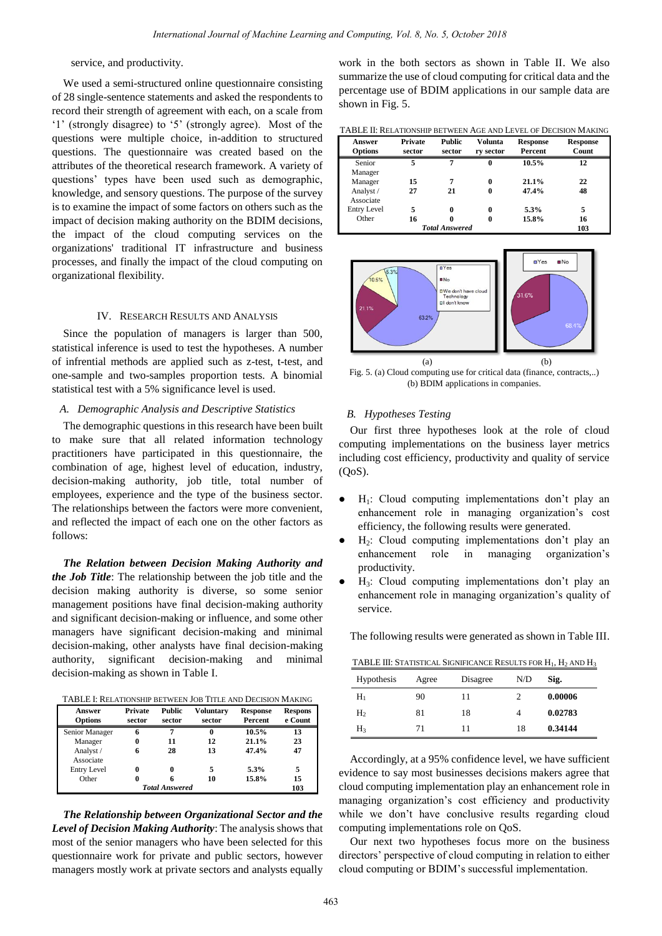service, and productivity.

We used a semi-structured online questionnaire consisting of 28 single-sentence statements and asked the respondents to record their strength of agreement with each, on a scale from "1" (strongly disagree) to "5" (strongly agree). Most of the questions were multiple choice, in-addition to structured questions. The questionnaire was created based on the attributes of the theoretical research framework. A variety of questions" types have been used such as demographic, knowledge, and sensory questions. The purpose of the survey is to examine the impact of some factors on others such as the impact of decision making authority on the BDIM decisions, the impact of the cloud computing services on the organizations' traditional IT infrastructure and business processes, and finally the impact of the cloud computing on organizational flexibility.

#### IV. RESEARCH RESULTS AND ANALYSIS

Since the population of managers is larger than 500, statistical inference is used to test the hypotheses. A number of infrential methods are applied such as z-test, t-test, and one-sample and two-samples proportion tests. A binomial statistical test with a 5% significance level is used.

#### *A. Demographic Analysis and Descriptive Statistics*

The demographic questions in this research have been built to make sure that all related information technology practitioners have participated in this questionnaire, the combination of age, highest level of education, industry, decision-making authority, job title, total number of employees, experience and the type of the business sector. The relationships between the factors were more convenient, and reflected the impact of each one on the other factors as follows:

*The Relation between Decision Making Authority and the Job Title*: The relationship between the job title and the decision making authority is diverse, so some senior management positions have final decision-making authority and significant decision-making or influence, and some other managers have significant decision-making and minimal decision-making, other analysts have final decision-making authority, significant decision-making and minimal decision-making as shown in Table I.

| TABLE I: RELATIONSHIP BETWEEN JOB TITLE AND DECISION MAKING |  |
|-------------------------------------------------------------|--|
|-------------------------------------------------------------|--|

| Answer<br><b>Options</b> | <b>Private</b><br>sector | Public<br>sector      | Voluntary<br>sector | <b>Response</b><br>Percent | <b>Respons</b><br>e Count |
|--------------------------|--------------------------|-----------------------|---------------------|----------------------------|---------------------------|
| Senior Manager           |                          | 7                     | 0                   | 10.5%                      | 13                        |
| Manager                  |                          | 11                    | 12                  | 21.1%                      | 23                        |
| Analyst /                |                          | 28                    | 13                  | 47.4%                      | 47                        |
| Associate                |                          |                       |                     |                            |                           |
| <b>Entry Level</b>       |                          |                       | 5                   | 5.3%                       | 5                         |
| Other                    |                          |                       | 10                  | 15.8%                      | 15                        |
|                          |                          | <b>Total Answered</b> |                     |                            | 103                       |

*The Relationship between Organizational Sector and the Level of Decision Making Authority*: The analysis shows that most of the senior managers who have been selected for this questionnaire work for private and public sectors, however managers mostly work at private sectors and analysts equally

work in the both sectors as shown in Table II. We also summarize the use of cloud computing for critical data and the percentage use of BDIM applications in our sample data are shown in Fig. 5.

TABLE II: RELATIONSHIP BETWEEN AGE AND LEVEL OF DECISION MAKING

| Answer<br><b>Options</b> | Private<br>sector | <b>Public</b><br>sector | Volunta<br>ry sector | <b>Response</b><br>Percent | <b>Response</b><br>Count |
|--------------------------|-------------------|-------------------------|----------------------|----------------------------|--------------------------|
| Senior                   | 5                 | 7                       | $\bf{0}$             | 10.5%                      | 12                       |
| Manager                  |                   |                         |                      |                            |                          |
| Manager                  | 15                | 7                       | 0                    | 21.1%                      | 22                       |
| Analyst /                | 27                | 21                      | 0                    | 47.4%                      | 48                       |
| Associate                |                   |                         |                      |                            |                          |
| <b>Entry Level</b>       | 5                 | 0                       | $\bf{0}$             | 5.3%                       | 5                        |
| Other                    | 16                | 0                       | 0                    | 15.8%                      | 16                       |
| <b>Total Answered</b>    |                   |                         |                      |                            | 103                      |



Fig. 5. (a) Cloud computing use for critical data (finance, contracts,..) (b) BDIM applications in companies.

#### *B. Hypotheses Testing*

Our first three hypotheses look at the role of cloud computing implementations on the business layer metrics including cost efficiency, productivity and quality of service  $(OoS).$ 

- $H_1$ : Cloud computing implementations don't play an enhancement role in managing organization's cost efficiency, the following results were generated.
- H2: Cloud computing implementations don"t play an enhancement role in managing organization"s productivity.
- H3: Cloud computing implementations don"t play an enhancement role in managing organization"s quality of service.

The following results were generated as shown in Table III.

TABLE III: STATISTICAL SIGNIFICANCE RESULTS FOR  $H_1$ ,  $H_2$  and  $H_3$ 

| <b>Hypothesis</b> | Agree | Disagree | N/D | Sig.    |
|-------------------|-------|----------|-----|---------|
| $H_1$             | 90    | 11       | 2   | 0.00006 |
| H <sub>2</sub>    | 81    | 18       | 4   | 0.02783 |
| $H_3$             | 71    | 11       | 18  | 0.34144 |

Accordingly, at a 95% confidence level, we have sufficient evidence to say most businesses decisions makers agree that cloud computing implementation play an enhancement role in managing organization"s cost efficiency and productivity while we don't have conclusive results regarding cloud computing implementations role on QoS.

Our next two hypotheses focus more on the business directors" perspective of cloud computing in relation to either cloud computing or BDIM"s successful implementation.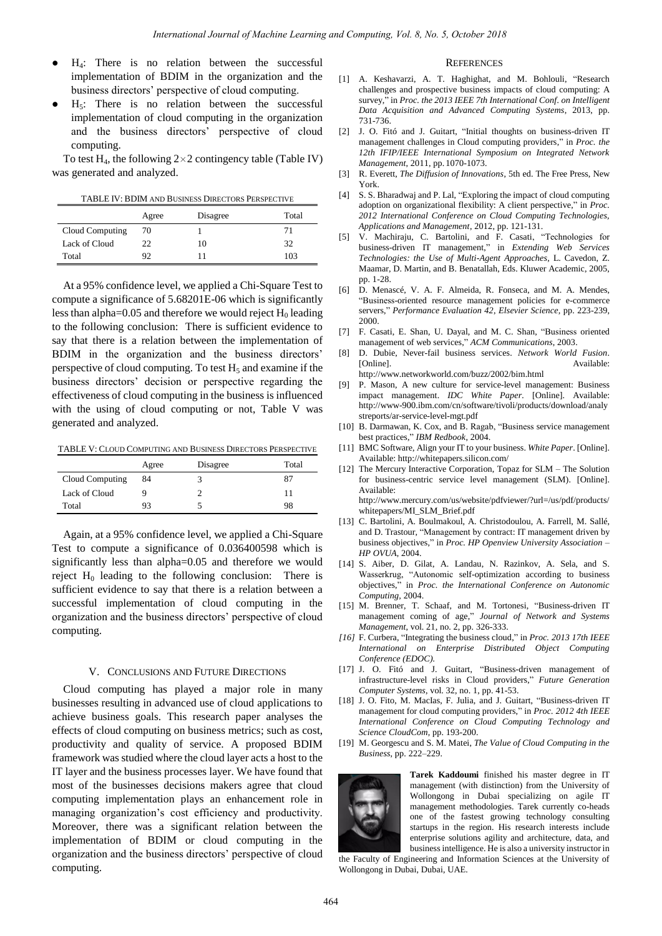- H4: There is no relation between the successful implementation of BDIM in the organization and the business directors" perspective of cloud computing.
- $H<sub>5</sub>$ : There is no relation between the successful implementation of cloud computing in the organization and the business directors" perspective of cloud computing.

To test H<sub>4</sub>, the following  $2 \times 2$  contingency table (Table IV) was generated and analyzed.

TABLE IV: BDIM AND BUSINESS DIRECTORS PERSPECTIVE

|                 | Agree | Disagree | Total |
|-----------------|-------|----------|-------|
| Cloud Computing | 70    |          | 71    |
| Lack of Cloud   | 22    | 10       | 32    |
| Total           | 92    |          | 103   |

At a 95% confidence level, we applied a Chi-Square Test to compute a significance of 5.68201E-06 which is significantly less than alpha= $0.05$  and therefore we would reject  $H_0$  leading to the following conclusion: There is sufficient evidence to say that there is a relation between the implementation of BDIM in the organization and the business directors' perspective of cloud computing. To test  $H_5$  and examine if the business directors" decision or perspective regarding the effectiveness of cloud computing in the business is influenced with the using of cloud computing or not, Table V was generated and analyzed.

TABLE V: CLOUD COMPUTING AND BUSINESS DIRECTORS PERSPECTIVE

|                 | Agree | Disagree | Total |
|-----------------|-------|----------|-------|
| Cloud Computing | 84    |          | 87    |
| Lack of Cloud   |       |          | 11    |
| Total           | 93    |          | 98    |

Again, at a 95% confidence level, we applied a Chi-Square Test to compute a significance of 0.036400598 which is significantly less than alpha=0.05 and therefore we would reject  $H_0$  leading to the following conclusion: There is sufficient evidence to say that there is a relation between a successful implementation of cloud computing in the organization and the business directors" perspective of cloud computing.

#### V. CONCLUSIONS AND FUTURE DIRECTIONS

Cloud computing has played a major role in many businesses resulting in advanced use of cloud applications to achieve business goals. This research paper analyses the effects of cloud computing on business metrics; such as cost, productivity and quality of service. A proposed BDIM framework was studied where the cloud layer acts a host to the IT layer and the business processes layer. We have found that most of the businesses decisions makers agree that cloud computing implementation plays an enhancement role in managing organization"s cost efficiency and productivity. Moreover, there was a significant relation between the implementation of BDIM or cloud computing in the organization and the business directors" perspective of cloud computing.

#### **REFERENCES**

- [1] A. Keshavarzi, A. T. Haghighat, and M. Bohlouli, "Research challenges and prospective business impacts of cloud computing: A survey," in *Proc. the 2013 IEEE 7th International Conf. on Intelligent Data Acquisition and Advanced Computing Systems*, 2013, pp. 731-736.
- [2] J. O. Fitó and J. Guitart, "Initial thoughts on business-driven IT management challenges in Cloud computing providers," in *Proc. the 12th IFIP/IEEE International Symposium on Integrated Network Management*, 2011, pp. 1070-1073.
- [3] R. Everett, *The Diffusion of Innovations*, 5th ed. The Free Press, New York.
- [4] S. S. Bharadwaj and P. Lal, "Exploring the impact of cloud computing adoption on organizational flexibility: A client perspective," in *Proc. 2012 International Conference on Cloud Computing Technologies, Applications and Management*, 2012, pp. 121-131.
- [5] V. Machiraju, C. Bartolini, and F. Casati, "Technologies for business-driven IT management," in *Extending Web Services Technologies: the Use of Multi-Agent Approaches,* L. Cavedon, Z. Maamar, D. Martin, and B. Benatallah, Eds. Kluwer Academic, 2005, pp. 1-28.
- [6] D. Menascé, V. A. F. Almeida, R. Fonseca, and M. A. Mendes, "Business-oriented resource management policies for e-commerce servers," *Performance Evaluation 42*, *Elsevier Science,* pp. 223-239, 2000.
- [7] F. Casati, E. Shan, U. Dayal, and M. C. Shan, "Business oriented management of web services," *ACM Communications*, 2003.
- [8] D. Dubie, Never-fail business services. *Network World Fusion*. [Online]. Available: http://www.networkworld.com/buzz/2002/bim.html
- [9] P. Mason, A new culture for service-level management: Business impact management. *IDC White Paper.* [Online]. Available: http://www-900.ibm.com/cn/software/tivoli/products/download/analy streports/ar-service-level-mgt.pdf
- [10] B. Darmawan, K. Cox, and B. Ragab, "Business service management best practices," *IBM Redbook*, 2004.
- [11] BMC Software, Align your IT to your business. *White Paper*. [Online]. Available: http://whitepapers.silicon.com/
- [12] The Mercury Interactive Corporation, Topaz for SLM The Solution for business-centric service level management (SLM). [Online]. Available: http://www.mercury.com/us/website/pdfviewer/?url=/us/pdf/products/
- whitepapers/MI\_SLM\_Brief.pdf [13] C. Bartolini, A. Boulmakoul, A. Christodoulou, A. Farrell, M. Sallé, and D. Trastour, "Management by contract: IT management driven by business objectives," in *Proc. HP Openview University Association – HP OVUA*, 2004.
- [14] S. Aiber, D. Gilat, A. Landau, N. Razinkov, A. Sela, and S. Wasserkrug, "Autonomic self-optimization according to business objectives," in *Proc. the International Conference on Autonomic Computing,* 2004.
- [15] M. Brenner, T. Schaaf, and M. Tortonesi, "Business-driven IT management coming of age," *Journal of Network and Systems Management*, vol. 21, no. 2, pp. 326-333.
- *[16]* F. Curbera, "Integrating the business cloud," in *Proc. 2013 17th IEEE International on Enterprise Distributed Object Computing Conference (EDOC).*
- [17] J. O. Fitó and J. Guitart, "Business-driven management of infrastructure-level risks in Cloud providers," *Future Generation Computer Systems*, vol. 32, no. 1, pp. 41-53.
- [18] J. O. Fito, M. MacIas, F. Julia, and J. Guitart, "Business-driven IT management for cloud computing providers," in *Proc. 2012 4th IEEE International Conference on Cloud Computing Technology and Science CloudCom,* pp. 193-200.
- [19] M. Georgescu and S. M. Matei, *The Value of Cloud Computing in the Business*, pp. 222–229.



**Tarek Kaddoumi** finished his master degree in IT management (with distinction) from the University of Wollongong in Dubai specializing on agile IT management methodologies. Tarek currently co-heads one of the fastest growing technology consulting startups in the region. His research interests include enterprise solutions agility and architecture, data, and business intelligence. He is also a university instructor in

the Faculty of Engineering and Information Sciences at the University of Wollongong in Dubai, Dubai, UAE.